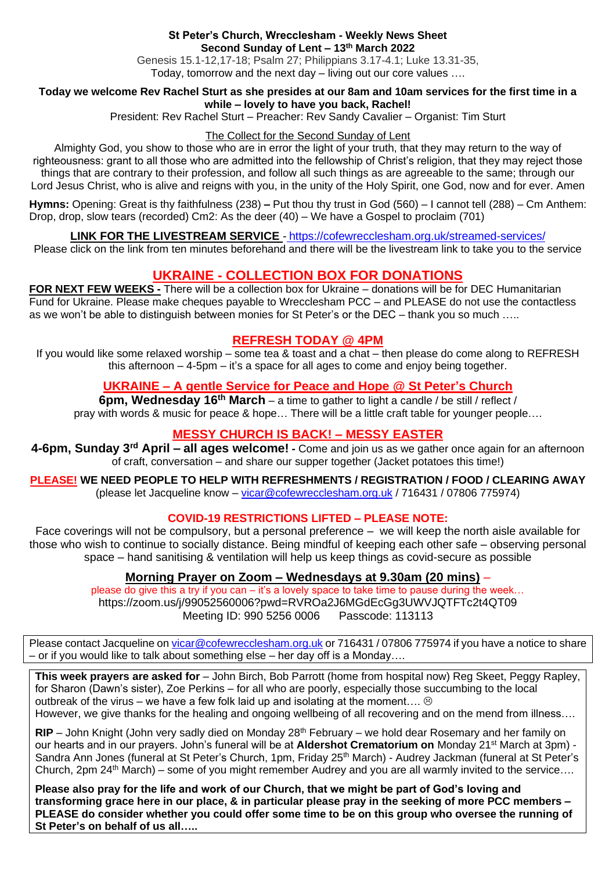#### **St Peter's Church, Wrecclesham - Weekly News Sheet Second Sunday of Lent – 13th March 2022**

Genesis 15.1-12,17-18; Psalm 27; Philippians 3.17-4.1; Luke 13.31-35, Today, tomorrow and the next day – living out our core values ….

#### **Today we welcome Rev Rachel Sturt as she presides at our 8am and 10am services for the first time in a while – lovely to have you back, Rachel!**

President: Rev Rachel Sturt – Preacher: Rev Sandy Cavalier – Organist: Tim Sturt

#### The Collect for the Second Sunday of Lent

Almighty God, you show to those who are in error the light of your truth, that they may return to the way of righteousness: grant to all those who are admitted into the fellowship of Christ's religion, that they may reject those things that are contrary to their profession, and follow all such things as are agreeable to the same; through our Lord Jesus Christ, who is alive and reigns with you, in the unity of the Holy Spirit, one God, now and for ever. Amen

**Hymns:** Opening: Great is thy faithfulness (238) **–** Put thou thy trust in God (560) – I cannot tell (288) – Cm Anthem: Drop, drop, slow tears (recorded) Cm2: As the deer (40) – We have a Gospel to proclaim (701)

## **LINK FOR THE LIVESTREAM SERVICE** - <https://cofewrecclesham.org.uk/streamed-services/>

Please click on the link from ten minutes beforehand and there will be the livestream link to take you to the service

# **UKRAINE - COLLECTION BOX FOR DONATIONS**

**FOR NEXT FEW WEEKS -** There will be a collection box for Ukraine – donations will be for DEC Humanitarian Fund for Ukraine. Please make cheques payable to Wrecclesham PCC – and PLEASE do not use the contactless as we won't be able to distinguish between monies for St Peter's or the DEC – thank you so much …..

# **REFRESH TODAY @ 4PM**

If you would like some relaxed worship – some tea & toast and a chat – then please do come along to REFRESH this afternoon – 4-5pm – it's a space for all ages to come and enjoy being together.

# **UKRAINE – A gentle Service for Peace and Hope @ St Peter's Church**

**6pm, Wednesday 16th March** – a time to gather to light a candle / be still / reflect / pray with words & music for peace & hope… There will be a little craft table for younger people….

# **MESSY CHURCH IS BACK! – MESSY EASTER**

**4-6pm, Sunday 3rd April – all ages welcome! -** Come and join us as we gather once again for an afternoon of craft, conversation – and share our supper together (Jacket potatoes this time!)

**PLEASE! WE NEED PEOPLE TO HELP WITH REFRESHMENTS / REGISTRATION / FOOD / CLEARING AWAY** (please let Jacqueline know – [vicar@cofewrecclesham.org.uk](mailto:vicar@cofewrecclesham.org.uk) / 716431 / 07806 775974)

## **COVID-19 RESTRICTIONS LIFTED – PLEASE NOTE:**

Face coverings will not be compulsory, but a personal preference – we will keep the north aisle available for those who wish to continue to socially distance. Being mindful of keeping each other safe – observing personal space – hand sanitising & ventilation will help us keep things as covid-secure as possible

## **Morning Prayer on Zoom – Wednesdays at 9.30am (20 mins)** –

please do give this a try if you can – it's a lovely space to take time to pause during the week… https://zoom.us/j/99052560006?pwd=RVROa2J6MGdEcGg3UWVJQTFTc2t4QT09 Meeting ID: 990 5256 0006 Passcode: 113113

Please contact Jacqueline on [vicar@cofewrecclesham.org.uk](mailto:vicar@cofewrecclesham.org.uk) or 716431 / 07806 775974 if you have a notice to share – or if you would like to talk about something else – her day off is a Monday….

**This week prayers are asked for** – John Birch, Bob Parrott (home from hospital now) Reg Skeet, Peggy Rapley, for Sharon (Dawn's sister), Zoe Perkins – for all who are poorly, especially those succumbing to the local outbreak of the virus – we have a few folk laid up and isolating at the moment....  $\odot$ However, we give thanks for the healing and ongoing wellbeing of all recovering and on the mend from illness….

**RIP** – John Knight (John very sadly died on Monday 28<sup>th</sup> February – we hold dear Rosemary and her family on our hearts and in our prayers. John's funeral will be at **Aldershot Crematorium on** Monday 21<sup>st</sup> March at 3pm) -Sandra Ann Jones (funeral at St Peter's Church, 1pm, Friday 25<sup>th</sup> March) - Audrey Jackman (funeral at St Peter's Church, 2pm 24<sup>th</sup> March) – some of you might remember Audrey and you are all warmly invited to the service....

**Please also pray for the life and work of our Church, that we might be part of God's loving and transforming grace here in our place, & in particular please pray in the seeking of more PCC members – PLEASE do consider whether you could offer some time to be on this group who oversee the running of St Peter's on behalf of us all…..**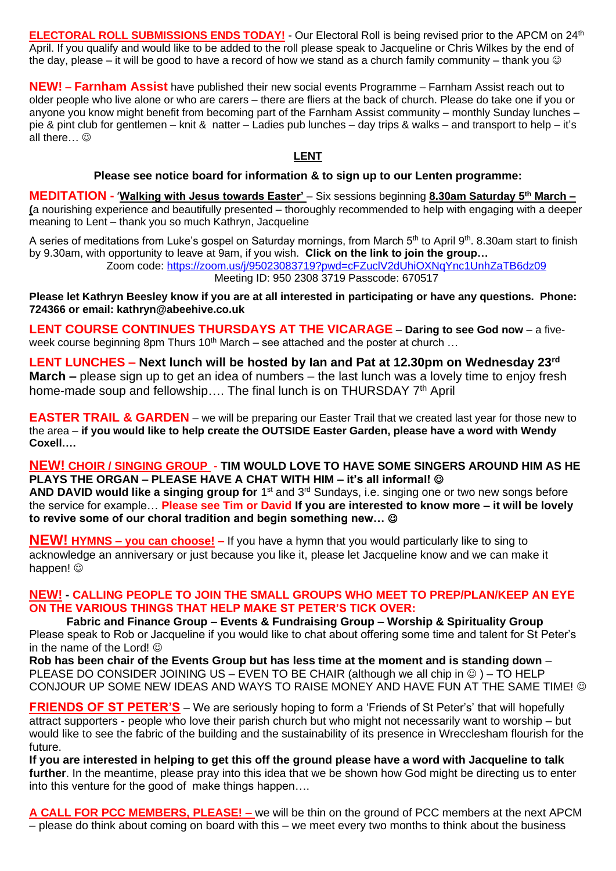**ELECTORAL ROLL SUBMISSIONS ENDS TODAY!** - Our Electoral Roll is being revised prior to the APCM on 24th April. If you qualify and would like to be added to the roll please speak to Jacqueline or Chris Wilkes by the end of the day, please – it will be good to have a record of how we stand as a church family community – thank you  $\odot$ 

**NEW! – Farnham Assist** have published their new social events Programme – Farnham Assist reach out to older people who live alone or who are carers – there are fliers at the back of church. Please do take one if you or anyone you know might benefit from becoming part of the Farnham Assist community – monthly Sunday lunches – pie & pint club for gentlemen – knit & natter – Ladies pub lunches – day trips & walks – and transport to help – it's all there  $\heartsuit$ 

### **LENT**

#### **Please see notice board for information & to sign up to our Lenten programme:**

**MEDITATION -** 'Walking with Jesus towards Easter' – Six sessions beginning 8.30am Saturday 5<sup>th</sup> March – **(**a nourishing experience and beautifully presented – thoroughly recommended to help with engaging with a deeper meaning to Lent – thank you so much Kathryn, Jacqueline

A series of meditations from Luke's gospel on Saturday mornings, from March 5<sup>th</sup> to April 9<sup>th</sup>. 8.30am start to finish by 9.30am, with opportunity to leave at 9am, if you wish. **Click on the link to join the group…** 

Zoom code:<https://zoom.us/j/95023083719?pwd=cFZuclV2dUhiOXNqYnc1UnhZaTB6dz09> Meeting ID: 950 2308 3719 Passcode: 670517

**Please let Kathryn Beesley know if you are at all interested in participating or have any questions. Phone: 724366 or email: kathryn@abeehive.co.uk**

**LENT COURSE CONTINUES THURSDAYS AT THE VICARAGE** – **Daring to see God now** – a fiveweek course beginning 8pm Thurs 10<sup>th</sup> March – see attached and the poster at church ...

**LENT LUNCHES – Next lunch will be hosted by Ian and Pat at 12.30pm on Wednesday 23rd March –** please sign up to get an idea of numbers – the last lunch was a lovely time to enjoy fresh home-made soup and fellowship.... The final lunch is on THURSDAY 7<sup>th</sup> April

**EASTER TRAIL & GARDEN** – we will be preparing our Easter Trail that we created last year for those new to the area – **if you would like to help create the OUTSIDE Easter Garden, please have a word with Wendy Coxell….**

**NEW! CHOIR / SINGING GROUP** - **TIM WOULD LOVE TO HAVE SOME SINGERS AROUND HIM AS HE PLAYS THE ORGAN – PLEASE HAVE A CHAT WITH HIM – it's all informal!** ☺

AND DAVID would like a singing group for 1<sup>st</sup> and 3<sup>rd</sup> Sundays, i.e. singing one or two new songs before the service for example… **Please see Tim or David If you are interested to know more – it will be lovely to revive some of our choral tradition and begin something new…** ☺

**NEW! HYMNS – you can choose! –** If you have a hymn that you would particularly like to sing to acknowledge an anniversary or just because you like it, please let Jacqueline know and we can make it happen!  $\circledcirc$ 

### **NEW! - CALLING PEOPLE TO JOIN THE SMALL GROUPS WHO MEET TO PREP/PLAN/KEEP AN EYE ON THE VARIOUS THINGS THAT HELP MAKE ST PETER'S TICK OVER:**

**Fabric and Finance Group – Events & Fundraising Group – Worship & Spirituality Group** Please speak to Rob or Jacqueline if you would like to chat about offering some time and talent for St Peter's in the name of the Lord!  $\odot$ 

**Rob has been chair of the Events Group but has less time at the moment and is standing down** – PLEASE DO CONSIDER JOINING US – EVEN TO BE CHAIR (although we all chip in  $\circledcirc$ ) – TO HELP CONJOUR UP SOME NEW IDEAS AND WAYS TO RAISE MONEY AND HAVE FUN AT THE SAME TIME!  $\odot$ 

**FRIENDS OF ST PETER'S** – We are seriously hoping to form a 'Friends of St Peter's' that will hopefully attract supporters - people who love their parish church but who might not necessarily want to worship – but would like to see the fabric of the building and the sustainability of its presence in Wrecclesham flourish for the future.

**If you are interested in helping to get this off the ground please have a word with Jacqueline to talk further**. In the meantime, please pray into this idea that we be shown how God might be directing us to enter into this venture for the good of make things happen….

**A CALL FOR PCC MEMBERS, PLEASE! –** we will be thin on the ground of PCC members at the next APCM – please do think about coming on board with this – we meet every two months to think about the business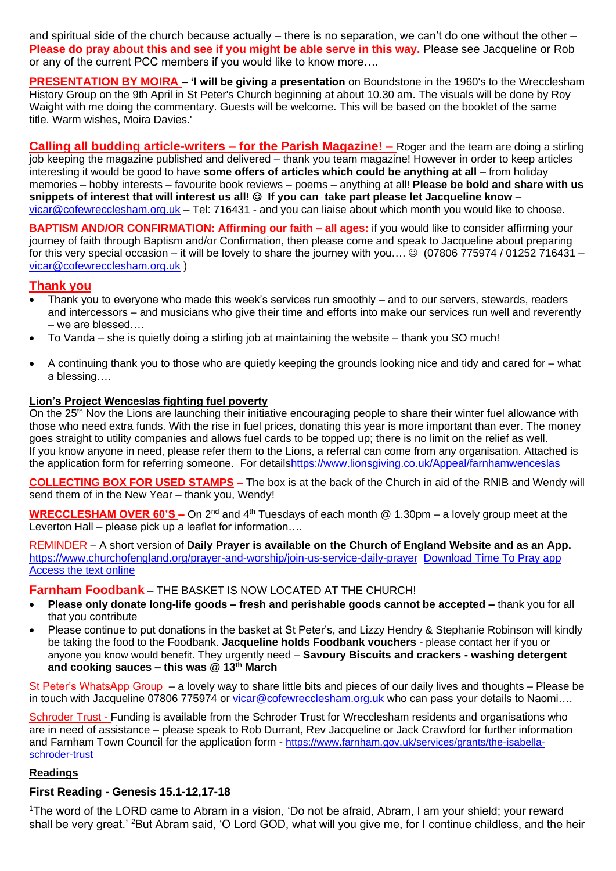and spiritual side of the church because actually – there is no separation, we can't do one without the other – **Please do pray about this and see if you might be able serve in this way.** Please see Jacqueline or Rob or any of the current PCC members if you would like to know more….

**PRESENTATION BY MOIRA - 'I will be giving a presentation on Boundstone in the 1960's to the Wrecclesham** History Group on the 9th April in St Peter's Church beginning at about 10.30 am. The visuals will be done by Roy Waight with me doing the commentary. Guests will be welcome. This will be based on the booklet of the same title. Warm wishes, Moira Davies.'

**Calling all budding article-writers – for the Parish Magazine! –** Roger and the team are doing a stirling job keeping the magazine published and delivered – thank you team magazine! However in order to keep articles interesting it would be good to have **some offers of articles which could be anything at all** – from holiday memories – hobby interests – favourite book reviews – poems – anything at all! **Please be bold and share with us snippets of interest that will interest us all!** ☺ **If you can take part please let Jacqueline know** – [vicar@cofewrecclesham.org.uk](mailto:vicar@cofewrecclesham.org.uk) – Tel: 716431 - and you can liaise about which month you would like to choose.

**BAPTISM AND/OR CONFIRMATION: Affirming our faith – all ages:** if you would like to consider affirming your journey of faith through Baptism and/or Confirmation, then please come and speak to Jacqueline about preparing for this very special occasion – it will be lovely to share the journey with you.... © (07806 775974 / 01252 716431 – [vicar@cofewrecclesham.org.uk](mailto:vicar@cofewrecclesham.org.uk) )

## **Thank you**

- Thank you to everyone who made this week's services run smoothly and to our servers, stewards, readers and intercessors – and musicians who give their time and efforts into make our services run well and reverently – we are blessed….
- To Vanda she is quietly doing a stirling job at maintaining the website thank you SO much!
- A continuing thank you to those who are quietly keeping the grounds looking nice and tidy and cared for what a blessing….

### **Lion's Project Wenceslas fighting fuel poverty**

On the 25<sup>th</sup> Nov the Lions are launching their initiative encouraging people to share their winter fuel allowance with those who need extra funds. With the rise in fuel prices, donating this year is more important than ever. The money goes straight to utility companies and allows fuel cards to be topped up; there is no limit on the relief as well. If you know anyone in need, please refer them to the Lions, a referral can come from any organisation. Attached is the application form for referring someone. For detail[shttps://www.lionsgiving.co.uk/Appeal/farnhamwenceslas](https://www.lionsgiving.co.uk/Appeal/farnhamwenceslas)

**COLLECTING BOX FOR USED STAMPS –** The box is at the back of the Church in aid of the RNIB and Wendy will send them of in the New Year – thank you, Wendy!

**WRECCLESHAM OVER 60'S –** On 2<sup>nd</sup> and 4<sup>th</sup> Tuesdays of each month @ 1.30pm – a lovely group meet at the Leverton Hall – please pick up a leaflet for information....

REMINDER – A short version of **Daily Prayer is available on the Church of England Website and as an App.** <https://www.churchofengland.org/prayer-and-worship/join-us-service-daily-prayer> [Download Time To Pray app](https://www.chpublishing.co.uk/apps/time-to-pray)  [Access the text online](https://www.churchofengland.org/prayer-and-worship/join-us-in-daily-prayer/prayer-during-day-contemporary-Saturday-30-January-2021)

#### **Farnham Foodbank** – THE BASKET IS NOW LOCATED AT THE CHURCH!

- **Please only donate long-life goods – fresh and perishable goods cannot be accepted –** thank you for all that you contribute
- Please continue to put donations in the basket at St Peter's, and Lizzy Hendry & Stephanie Robinson will kindly be taking the food to the Foodbank. **Jacqueline holds Foodbank vouchers** - please contact her if you or anyone you know would benefit. They urgently need – **Savoury Biscuits and crackers - washing detergent and cooking sauces – this was @ 13th March**

St Peter's WhatsApp Group – a lovely way to share little bits and pieces of our daily lives and thoughts – Please be in touch with Jacqueline 07806 775974 or [vicar@cofewrecclesham.org.uk](mailto:vicar@cofewrecclesham.org.uk) who can pass your details to Naomi....

Schroder Trust - Funding is available from the Schroder Trust for Wrecclesham residents and organisations who are in need of assistance – please speak to Rob Durrant, Rev Jacqueline or Jack Crawford for further information and Farnham Town Council for the application form - [https://www.farnham.gov.uk/services/grants/the-isabella](https://www.farnham.gov.uk/services/grants/the-isabella-schroder-trust)[schroder-trust](https://www.farnham.gov.uk/services/grants/the-isabella-schroder-trust)

#### **Readings**

## **First Reading - Genesis 15.1-12,17-18**

<sup>1</sup>The word of the LORD came to Abram in a vision, 'Do not be afraid, Abram, I am your shield; your reward shall be very great.' 2But Abram said, 'O Lord GOD, what will you give me, for I continue childless, and the heir